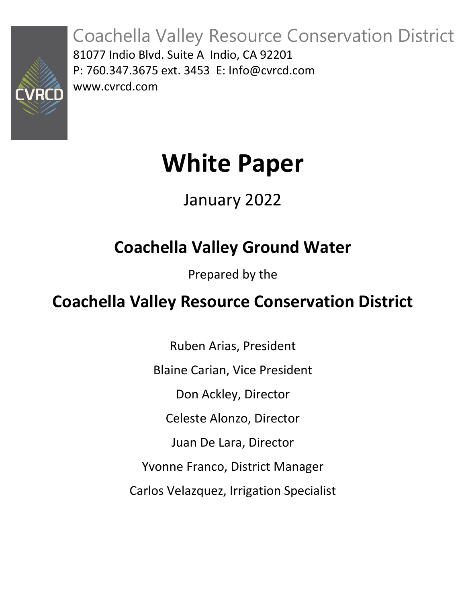

Coachella Valley Resource Conservation District 81077 Indio Blvd. Suite A Indio, CA 92201 P: 760.347.3675 ext. 3453 E: [Info@cvrcd.com](mailto:Info@cvrcd.com) www.cvrcd.com

# **White Paper**

## January 2022

# **Coachella Valley Ground Water**

Prepared by the

### **Coachella Valley Resource Conservation District**

Ruben Arias, President Blaine Carian, Vice President Don Ackley, Director Celeste Alonzo, Director Juan De Lara, Director Yvonne Franco, District Manager Carlos Velazquez, Irrigation Specialist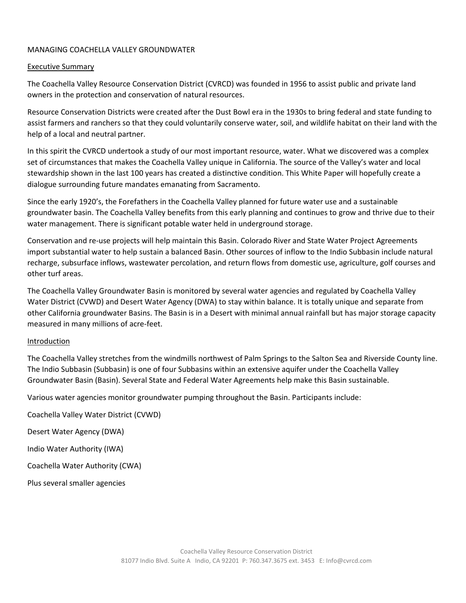#### MANAGING COACHELLA VALLEY GROUNDWATER

#### Executive Summary

The Coachella Valley Resource Conservation District (CVRCD) was founded in 1956 to assist public and private land owners in the protection and conservation of natural resources.

Resource Conservation Districts were created after the Dust Bowl era in the 1930s to bring federal and state funding to assist farmers and ranchers so that they could voluntarily conserve water, soil, and wildlife habitat on their land with the help of a local and neutral partner.

In this spirit the CVRCD undertook a study of our most important resource, water. What we discovered was a complex set of circumstances that makes the Coachella Valley unique in California. The source of the Valley's water and local stewardship shown in the last 100 years has created a distinctive condition. This White Paper will hopefully create a dialogue surrounding future mandates emanating from Sacramento.

Since the early 1920's, the Forefathers in the Coachella Valley planned for future water use and a sustainable groundwater basin. The Coachella Valley benefits from this early planning and continues to grow and thrive due to their water management. There is significant potable water held in underground storage.

Conservation and re-use projects will help maintain this Basin. Colorado River and State Water Project Agreements import substantial water to help sustain a balanced Basin. Other sources of inflow to the Indio Subbasin include natural recharge, subsurface inflows, wastewater percolation, and return flows from domestic use, agriculture, golf courses and other turf areas.

The Coachella Valley Groundwater Basin is monitored by several water agencies and regulated by Coachella Valley Water District (CVWD) and Desert Water Agency (DWA) to stay within balance. It is totally unique and separate from other California groundwater Basins. The Basin is in a Desert with minimal annual rainfall but has major storage capacity measured in many millions of acre-feet.

#### Introduction

The Coachella Valley stretches from the windmills northwest of Palm Springs to the Salton Sea and Riverside County line. The Indio Subbasin (Subbasin) is one of four Subbasins within an extensive aquifer under the Coachella Valley Groundwater Basin (Basin). Several State and Federal Water Agreements help make this Basin sustainable.

Various water agencies monitor groundwater pumping throughout the Basin. Participants include:

Coachella Valley Water District (CVWD) Desert Water Agency (DWA) Indio Water Authority (IWA) Coachella Water Authority (CWA) Plus several smaller agencies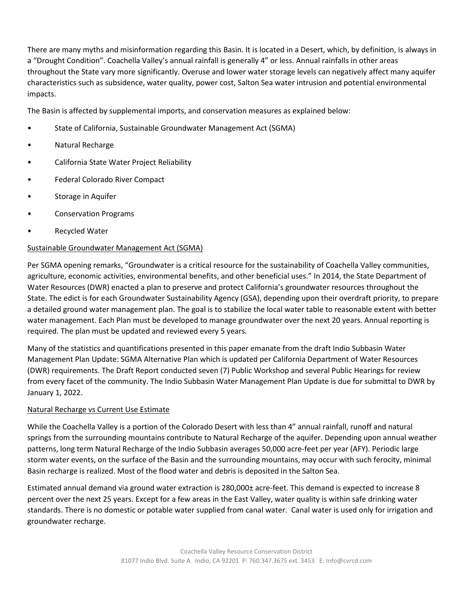There are many myths and misinformation regarding this Basin. It is located in a Desert, which, by definition, is always in a "Drought Condition". Coachella Valley's annual rainfall is generally 4" or less. Annual rainfalls in other areas throughout the State vary more significantly. Overuse and lower water storage levels can negatively affect many aquifer characteristics such as subsidence, water quality, power cost, Salton Sea water intrusion and potential environmental impacts.

The Basin is affected by supplemental imports, and conservation measures as explained below:

- State of California, Sustainable Groundwater Management Act (SGMA)
- Natural Recharge
- California State Water Project Reliability
- Federal Colorado River Compact
- Storage in Aquifer
- Conservation Programs
- **Recycled Water**

#### Sustainable Groundwater Management Act (SGMA)

Per SGMA opening remarks, "Groundwater is a critical resource for the sustainability of Coachella Valley communities, agriculture, economic activities, environmental benefits, and other beneficial uses." In 2014, the State Department of Water Resources (DWR) enacted a plan to preserve and protect California's groundwater resources throughout the State. The edict is for each Groundwater Sustainability Agency (GSA), depending upon their overdraft priority, to prepare a detailed ground water management plan. The goal is to stabilize the local water table to reasonable extent with better water management. Each Plan must be developed to manage groundwater over the next 20 years. Annual reporting is required. The plan must be updated and reviewed every 5 years.

Many of the statistics and quantifications presented in this paper emanate from the draft Indio Subbasin Water Management Plan Update: SGMA Alternative Plan which is updated per California Department of Water Resources (DWR) requirements. The Draft Report conducted seven (7) Public Workshop and several Public Hearings for review from every facet of the community. The Indio Subbasin Water Management Plan Update is due for submittal to DWR by January 1, 2022.

#### Natural Recharge vs Current Use Estimate

While the Coachella Valley is a portion of the Colorado Desert with less than 4" annual rainfall, runoff and natural springs from the surrounding mountains contribute to Natural Recharge of the aquifer. Depending upon annual weather patterns, long term Natural Recharge of the Indio Subbasin averages 50,000 acre-feet per year (AFY). Periodic large storm water events, on the surface of the Basin and the surrounding mountains, may occur with such ferocity, minimal Basin recharge is realized. Most of the flood water and debris is deposited in the Salton Sea.

Estimated annual demand via ground water extraction is 280,000± acre-feet. This demand is expected to increase 8 percent over the next 25 years. Except for a few areas in the East Valley, water quality is within safe drinking water standards. There is no domestic or potable water supplied from canal water. Canal water is used only for irrigation and groundwater recharge.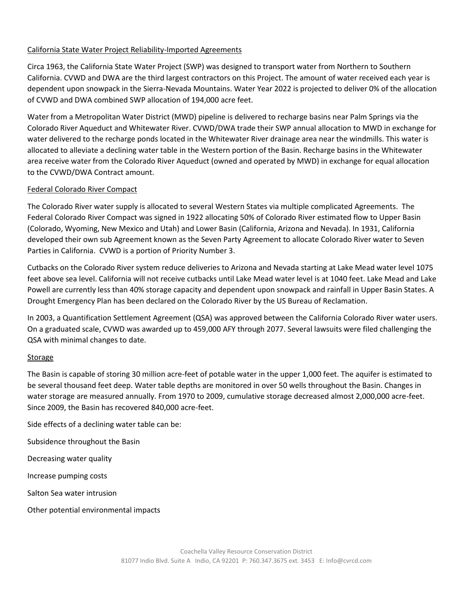#### California State Water Project Reliability-Imported Agreements

Circa 1963, the California State Water Project (SWP) was designed to transport water from Northern to Southern California. CVWD and DWA are the third largest contractors on this Project. The amount of water received each year is dependent upon snowpack in the Sierra-Nevada Mountains. Water Year 2022 is projected to deliver 0% of the allocation of CVWD and DWA combined SWP allocation of 194,000 acre feet.

Water from a Metropolitan Water District (MWD) pipeline is delivered to recharge basins near Palm Springs via the Colorado River Aqueduct and Whitewater River. CVWD/DWA trade their SWP annual allocation to MWD in exchange for water delivered to the recharge ponds located in the Whitewater River drainage area near the windmills. This water is allocated to alleviate a declining water table in the Western portion of the Basin. Recharge basins in the Whitewater area receive water from the Colorado River Aqueduct (owned and operated by MWD) in exchange for equal allocation to the CVWD/DWA Contract amount.

#### Federal Colorado River Compact

The Colorado River water supply is allocated to several Western States via multiple complicated Agreements. The Federal Colorado River Compact was signed in 1922 allocating 50% of Colorado River estimated flow to Upper Basin (Colorado, Wyoming, New Mexico and Utah) and Lower Basin (California, Arizona and Nevada). In 1931, California developed their own sub Agreement known as the Seven Party Agreement to allocate Colorado River water to Seven Parties in California. CVWD is a portion of Priority Number 3.

Cutbacks on the Colorado River system reduce deliveries to Arizona and Nevada starting at Lake Mead water level 1075 feet above sea level. California will not receive cutbacks until Lake Mead water level is at 1040 feet. Lake Mead and Lake Powell are currently less than 40% storage capacity and dependent upon snowpack and rainfall in Upper Basin States. A Drought Emergency Plan has been declared on the Colorado River by the US Bureau of Reclamation.

In 2003, a Quantification Settlement Agreement (QSA) was approved between the California Colorado River water users. On a graduated scale, CVWD was awarded up to 459,000 AFY through 2077. Several lawsuits were filed challenging the QSA with minimal changes to date.

#### Storage

The Basin is capable of storing 30 million acre-feet of potable water in the upper 1,000 feet. The aquifer is estimated to be several thousand feet deep. Water table depths are monitored in over 50 wells throughout the Basin. Changes in water storage are measured annually. From 1970 to 2009, cumulative storage decreased almost 2,000,000 acre-feet. Since 2009, the Basin has recovered 840,000 acre-feet.

Side effects of a declining water table can be:

Subsidence throughout the Basin

Decreasing water quality

Increase pumping costs

Salton Sea water intrusion

Other potential environmental impacts